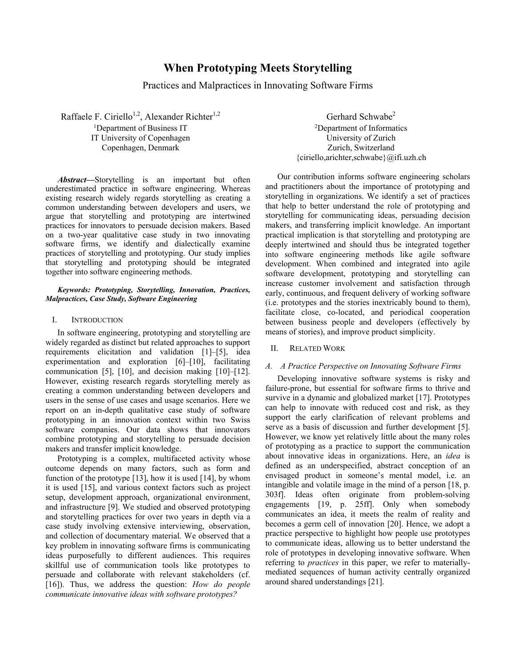# **When Prototyping Meets Storytelling**

Practices and Malpractices in Innovating Software Firms

Raffaele F. Ciriello<sup>1,2</sup>, Alexander Richter<sup>1,2</sup> 1 Department of Business IT IT University of Copenhagen Copenhagen, Denmark

*Abstract***—**Storytelling is an important but often underestimated practice in software engineering. Whereas existing research widely regards storytelling as creating a common understanding between developers and users, we argue that storytelling and prototyping are intertwined practices for innovators to persuade decision makers. Based on a two-year qualitative case study in two innovating software firms, we identify and dialectically examine practices of storytelling and prototyping. Our study implies that storytelling and prototyping should be integrated together into software engineering methods.

## *Keywords: Prototyping, Storytelling, Innovation, Practices, Malpractices, Case Study, Software Engineering*

#### I. INTRODUCTION

In software engineering, prototyping and storytelling are widely regarded as distinct but related approaches to support requirements elicitation and validation [1]–[5], idea experimentation and exploration [6]–[10], facilitating communication [5], [10], and decision making [10]–[12]. However, existing research regards storytelling merely as creating a common understanding between developers and users in the sense of use cases and usage scenarios. Here we report on an in-depth qualitative case study of software prototyping in an innovation context within two Swiss software companies. Our data shows that innovators combine prototyping and storytelling to persuade decision makers and transfer implicit knowledge.

Prototyping is a complex, multifaceted activity whose outcome depends on many factors, such as form and function of the prototype [13], how it is used [14], by whom it is used [15], and various context factors such as project setup, development approach, organizational environment, and infrastructure [9]. We studied and observed prototyping and storytelling practices for over two years in depth via a case study involving extensive interviewing, observation, and collection of documentary material. We observed that a key problem in innovating software firms is communicating ideas purposefully to different audiences. This requires skillful use of communication tools like prototypes to persuade and collaborate with relevant stakeholders (cf. [16]). Thus, we address the question: *How do people communicate innovative ideas with software prototypes?* 

Gerhard Schwabe<sup>2</sup>

2 Department of Informatics University of Zurich Zurich, Switzerland {ciriello,arichter,schwabe}@ifi.uzh.ch

Our contribution informs software engineering scholars and practitioners about the importance of prototyping and storytelling in organizations. We identify a set of practices that help to better understand the role of prototyping and storytelling for communicating ideas, persuading decision makers, and transferring implicit knowledge. An important practical implication is that storytelling and prototyping are deeply intertwined and should thus be integrated together into software engineering methods like agile software development. When combined and integrated into agile software development, prototyping and storytelling can increase customer involvement and satisfaction through early, continuous, and frequent delivery of working software (i.e. prototypes and the stories inextricably bound to them), facilitate close, co-located, and periodical cooperation between business people and developers (effectively by means of stories), and improve product simplicity.

II. RELATED WORK

#### *A. A Practice Perspective on Innovating Software Firms*

Developing innovative software systems is risky and failure-prone, but essential for software firms to thrive and survive in a dynamic and globalized market [17]. Prototypes can help to innovate with reduced cost and risk, as they support the early clarification of relevant problems and serve as a basis of discussion and further development [5]. However, we know yet relatively little about the many roles of prototyping as a practice to support the communication about innovative ideas in organizations. Here, an *idea* is defined as an underspecified, abstract conception of an envisaged product in someone's mental model, i.e. an intangible and volatile image in the mind of a person [18, p. 303f]. Ideas often originate from problem-solving engagements [19, p. 25ff]. Only when somebody communicates an idea, it meets the realm of reality and becomes a germ cell of innovation [20]. Hence, we adopt a practice perspective to highlight how people use prototypes to communicate ideas, allowing us to better understand the role of prototypes in developing innovative software. When referring to *practices* in this paper, we refer to materiallymediated sequences of human activity centrally organized around shared understandings [21].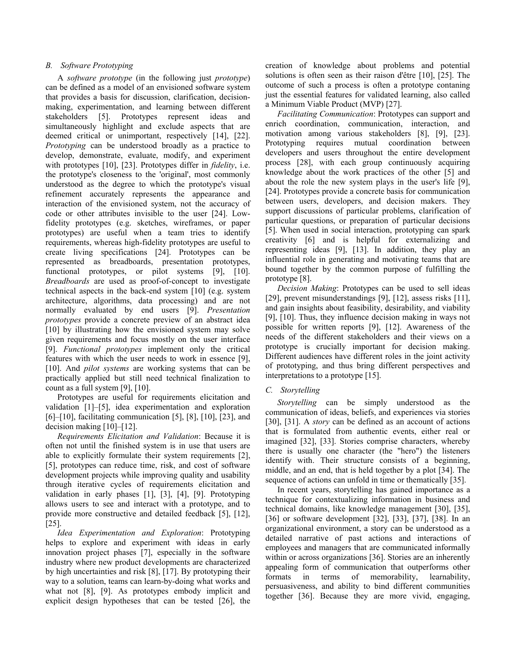## *B. Software Prototyping*

A *software prototype* (in the following just *prototype*) can be defined as a model of an envisioned software system that provides a basis for discussion, clarification, decisionmaking, experimentation, and learning between different stakeholders [5]. Prototypes represent ideas and simultaneously highlight and exclude aspects that are deemed critical or unimportant, respectively [14], [22]. *Prototyping* can be understood broadly as a practice to develop, demonstrate, evaluate, modify, and experiment with prototypes [10], [23]. Prototypes differ in *fidelity*, i.e. the prototype's closeness to the 'original', most commonly understood as the degree to which the prototype's visual refinement accurately represents the appearance and interaction of the envisioned system, not the accuracy of code or other attributes invisible to the user [24]. Lowfidelity prototypes (e.g. sketches, wireframes, or paper prototypes) are useful when a team tries to identify requirements, whereas high-fidelity prototypes are useful to create living specifications [24]. Prototypes can be represented as breadboards, presentation prototypes, functional prototypes, or pilot systems [9], [10]. *Breadboards* are used as proof-of-concept to investigate technical aspects in the back-end system [10] (e.g. system architecture, algorithms, data processing) and are not normally evaluated by end users [9]. *Presentation prototypes* provide a concrete preview of an abstract idea [10] by illustrating how the envisioned system may solve given requirements and focus mostly on the user interface [9]. *Functional prototypes* implement only the critical features with which the user needs to work in essence [9], [10]. And *pilot systems* are working systems that can be practically applied but still need technical finalization to count as a full system [9], [10].

Prototypes are useful for requirements elicitation and validation [1]–[5], idea experimentation and exploration [6]–[10], facilitating communication [5], [8], [10], [23], and decision making [10]–[12].

*Requirements Elicitation and Validation*: Because it is often not until the finished system is in use that users are able to explicitly formulate their system requirements [2], [5], prototypes can reduce time, risk, and cost of software development projects while improving quality and usability through iterative cycles of requirements elicitation and validation in early phases [1], [3], [4], [9]. Prototyping allows users to see and interact with a prototype, and to provide more constructive and detailed feedback [5], [12], [25].

*Idea Experimentation and Exploration*: Prototyping helps to explore and experiment with ideas in early innovation project phases [7], especially in the software industry where new product developments are characterized by high uncertainties and risk [8], [17]. By prototyping their way to a solution, teams can learn-by-doing what works and what not [8], [9]. As prototypes embody implicit and explicit design hypotheses that can be tested [26], the creation of knowledge about problems and potential solutions is often seen as their raison d'être [10], [25]. The outcome of such a process is often a prototype contaning just the essential features for validated learning, also called a Minimum Viable Product (MVP) [27].

*Facilitating Communication*: Prototypes can support and enrich coordination, communication, interaction, and motivation among various stakeholders [8], [9], [23]. Prototyping requires mutual coordination between developers and users throughout the entire development process [28], with each group continuously acquiring knowledge about the work practices of the other [5] and about the role the new system plays in the user's life [9], [24]. Prototypes provide a concrete basis for communication between users, developers, and decision makers. They support discussions of particular problems, clarification of particular questions, or preparation of particular decisions [5]. When used in social interaction, prototyping can spark creativity [6] and is helpful for externalizing and representing ideas [9], [13]. In addition, they play an influential role in generating and motivating teams that are bound together by the common purpose of fulfilling the prototype [8].

*Decision Making*: Prototypes can be used to sell ideas [29], prevent misunderstandings [9], [12], assess risks [11], and gain insights about feasibility, desirability, and viability [9], [10]. Thus, they influence decision making in ways not possible for written reports [9], [12]. Awareness of the needs of the different stakeholders and their views on a prototype is crucially important for decision making. Different audiences have different roles in the joint activity of prototyping, and thus bring different perspectives and interpretations to a prototype [15].

## *C. Storytelling*

*Storytelling* can be simply understood as the communication of ideas, beliefs, and experiences via stories [30], [31]. A *story* can be defined as an account of actions that is formulated from authentic events, either real or imagined [32], [33]. Stories comprise characters, whereby there is usually one character (the "hero") the listeners identify with. Their structure consists of a beginning, middle, and an end, that is held together by a plot [34]. The sequence of actions can unfold in time or thematically [35].

In recent years, storytelling has gained importance as a technique for contextualizing information in business and technical domains, like knowledge management [30], [35], [36] or software development [32], [33], [37], [38]. In an organizational environment, a story can be understood as a detailed narrative of past actions and interactions of employees and managers that are communicated informally within or across organizations [36]. Stories are an inherently appealing form of communication that outperforms other formats in terms of memorability, learnability, persuasiveness, and ability to bind different communities together [36]. Because they are more vivid, engaging,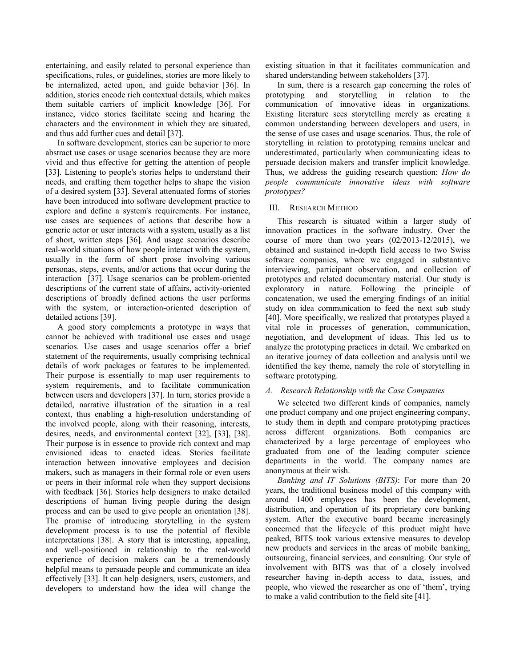entertaining, and easily related to personal experience than specifications, rules, or guidelines, stories are more likely to be internalized, acted upon, and guide behavior [36]. In addition, stories encode rich contextual details, which makes them suitable carriers of implicit knowledge [36]. For instance, video stories facilitate seeing and hearing the characters and the environment in which they are situated, and thus add further cues and detail [37].

In software development, stories can be superior to more abstract use cases or usage scenarios because they are more vivid and thus effective for getting the attention of people [33]. Listening to people's stories helps to understand their needs, and crafting them together helps to shape the vision of a desired system [33]. Several attenuated forms of stories have been introduced into software development practice to explore and define a system's requirements. For instance, use cases are sequences of actions that describe how a generic actor or user interacts with a system, usually as a list of short, written steps [36]. And usage scenarios describe real-world situations of how people interact with the system, usually in the form of short prose involving various personas, steps, events, and/or actions that occur during the interaction [37]. Usage scenarios can be problem-oriented descriptions of the current state of affairs, activity-oriented descriptions of broadly defined actions the user performs with the system, or interaction-oriented description of detailed actions [39].

A good story complements a prototype in ways that cannot be achieved with traditional use cases and usage scenarios. Use cases and usage scenarios offer a brief statement of the requirements, usually comprising technical details of work packages or features to be implemented. Their purpose is essentially to map user requirements to system requirements, and to facilitate communication between users and developers [37]. In turn, stories provide a detailed, narrative illustration of the situation in a real context, thus enabling a high-resolution understanding of the involved people, along with their reasoning, interests, desires, needs, and environmental context [32], [33], [38]. Their purpose is in essence to provide rich context and map envisioned ideas to enacted ideas. Stories facilitate interaction between innovative employees and decision makers, such as managers in their formal role or even users or peers in their informal role when they support decisions with feedback [36]. Stories help designers to make detailed descriptions of human living people during the design process and can be used to give people an orientation [38]. The promise of introducing storytelling in the system development process is to use the potential of flexible interpretations [38]. A story that is interesting, appealing, and well-positioned in relationship to the real-world experience of decision makers can be a tremendously helpful means to persuade people and communicate an idea effectively [33]. It can help designers, users, customers, and developers to understand how the idea will change the

existing situation in that it facilitates communication and shared understanding between stakeholders [37].

In sum, there is a research gap concerning the roles of prototyping and storytelling in relation to the communication of innovative ideas in organizations. Existing literature sees storytelling merely as creating a common understanding between developers and users, in the sense of use cases and usage scenarios. Thus, the role of storytelling in relation to prototyping remains unclear and underestimated, particularly when communicating ideas to persuade decision makers and transfer implicit knowledge. Thus, we address the guiding research question: *How do people communicate innovative ideas with software prototypes?*

## III. RESEARCH METHOD

This research is situated within a larger study of innovation practices in the software industry. Over the course of more than two years (02/2013-12/2015), we obtained and sustained in-depth field access to two Swiss software companies, where we engaged in substantive interviewing, participant observation, and collection of prototypes and related documentary material. Our study is exploratory in nature. Following the principle of concatenation, we used the emerging findings of an initial study on idea communication to feed the next sub study [40]. More specifically, we realized that prototypes played a vital role in processes of generation, communication, negotiation, and development of ideas. This led us to analyze the prototyping practices in detail. We embarked on an iterative journey of data collection and analysis until we identified the key theme, namely the role of storytelling in software prototyping.

## *A. Research Relationship with the Case Companies*

We selected two different kinds of companies, namely one product company and one project engineering company, to study them in depth and compare prototyping practices across different organizations. Both companies are characterized by a large percentage of employees who graduated from one of the leading computer science departments in the world. The company names are anonymous at their wish.

*Banking and IT Solutions (BITS)*: For more than 20 years, the traditional business model of this company with around 1400 employees has been the development, distribution, and operation of its proprietary core banking system. After the executive board became increasingly concerned that the lifecycle of this product might have peaked, BITS took various extensive measures to develop new products and services in the areas of mobile banking, outsourcing, financial services, and consulting. Our style of involvement with BITS was that of a closely involved researcher having in-depth access to data, issues, and people, who viewed the researcher as one of 'them', trying to make a valid contribution to the field site [41].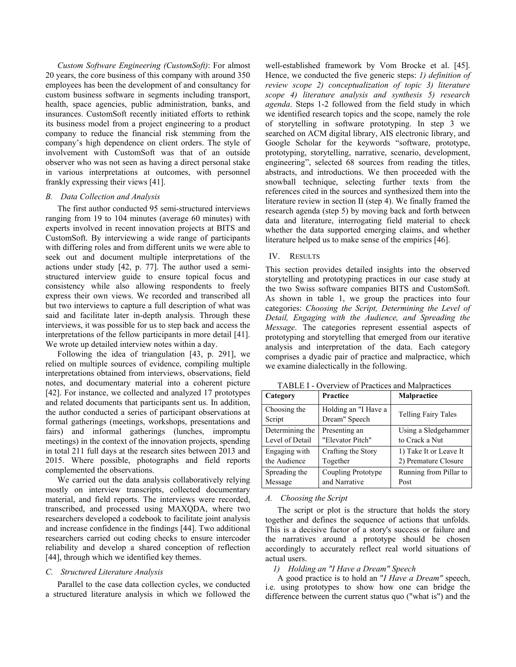*Custom Software Engineering (CustomSoft)*: For almost 20 years, the core business of this company with around 350 employees has been the development of and consultancy for custom business software in segments including transport, health, space agencies, public administration, banks, and insurances. CustomSoft recently initiated efforts to rethink its business model from a project engineering to a product company to reduce the financial risk stemming from the company's high dependence on client orders. The style of involvement with CustomSoft was that of an outside observer who was not seen as having a direct personal stake in various interpretations at outcomes, with personnel frankly expressing their views [41].

## *B. Data Collection and Analysis*

The first author conducted 95 semi-structured interviews ranging from 19 to 104 minutes (average 60 minutes) with experts involved in recent innovation projects at BITS and CustomSoft. By interviewing a wide range of participants with differing roles and from different units we were able to seek out and document multiple interpretations of the actions under study [42, p. 77]. The author used a semistructured interview guide to ensure topical focus and consistency while also allowing respondents to freely express their own views. We recorded and transcribed all but two interviews to capture a full description of what was said and facilitate later in-depth analysis. Through these interviews, it was possible for us to step back and access the interpretations of the fellow participants in more detail [41]. We wrote up detailed interview notes within a day.

Following the idea of triangulation [43, p. 291], we relied on multiple sources of evidence, compiling multiple interpretations obtained from interviews, observations, field notes, and documentary material into a coherent picture [42]. For instance, we collected and analyzed 17 prototypes and related documents that participants sent us. In addition, the author conducted a series of participant observations at formal gatherings (meetings, workshops, presentations and fairs) and informal gatherings (lunches, impromptu meetings) in the context of the innovation projects, spending in total 211 full days at the research sites between 2013 and 2015. Where possible, photographs and field reports complemented the observations.

We carried out the data analysis collaboratively relying mostly on interview transcripts, collected documentary material, and field reports. The interviews were recorded, transcribed, and processed using MAXQDA, where two researchers developed a codebook to facilitate joint analysis and increase confidence in the findings [44]. Two additional researchers carried out coding checks to ensure intercoder reliability and develop a shared conception of reflection [44], through which we identified key themes.

#### *C. Structured Literature Analysis*

Parallel to the case data collection cycles, we conducted a structured literature analysis in which we followed the well-established framework by Vom Brocke et al. [45]. Hence, we conducted the five generic steps: *1) definition of review scope 2) conceptualization of topic 3) literature scope 4) literature analysis and synthesis 5) research agenda*. Steps 1-2 followed from the field study in which we identified research topics and the scope, namely the role of storytelling in software prototyping. In step 3 we searched on ACM digital library, AIS electronic library, and Google Scholar for the keywords "software, prototype, prototyping, storytelling, narrative, scenario, development, engineering", selected 68 sources from reading the titles, abstracts, and introductions. We then proceeded with the snowball technique, selecting further texts from the references cited in the sources and synthesized them into the literature review in section II (step 4). We finally framed the research agenda (step 5) by moving back and forth between data and literature, interrogating field material to check whether the data supported emerging claims, and whether literature helped us to make sense of the empirics [46].

#### IV. RESULTS

This section provides detailed insights into the observed storytelling and prototyping practices in our case study at the two Swiss software companies BITS and CustomSoft. As shown in table 1, we group the practices into four categories: *Choosing the Script, Determining the Level of Detail, Engaging with the Audience, and Spreading the Message*. The categories represent essential aspects of prototyping and storytelling that emerged from our iterative analysis and interpretation of the data. Each category comprises a dyadic pair of practice and malpractice, which we examine dialectically in the following.

| TADLE I - OVERVIEW OF FREGUES AND MAIDIRENCES |                      |                            |
|-----------------------------------------------|----------------------|----------------------------|
| Category                                      | Practice             | Malpractice                |
| Choosing the                                  | Holding an "I Have a | <b>Telling Fairy Tales</b> |
| Script                                        | Dream" Speech        |                            |
| Determining the                               | Presenting an        | Using a Sledgehammer       |
| Level of Detail                               | "Elevator Pitch"     | to Crack a Nut             |
| Engaging with                                 | Crafting the Story   | 1) Take It or Leave It     |
| the Audience                                  | Together             | 2) Premature Closure       |
| Spreading the                                 | Coupling Prototype   | Running from Pillar to     |
| Message                                       | and Narrative        | Post                       |
|                                               |                      |                            |

TABLE I - Overview of Practices and Malpractices

#### *A. Choosing the Script*

The script or plot is the structure that holds the story together and defines the sequence of actions that unfolds. This is a decisive factor of a story's success or failure and the narratives around a prototype should be chosen accordingly to accurately reflect real world situations of actual users.

## *1) Holding an "I Have a Dream" Speech*

A good practice is to hold an "*I Have a Dream"* speech, i.e. using prototypes to show how one can bridge the difference between the current status quo ("what is") and the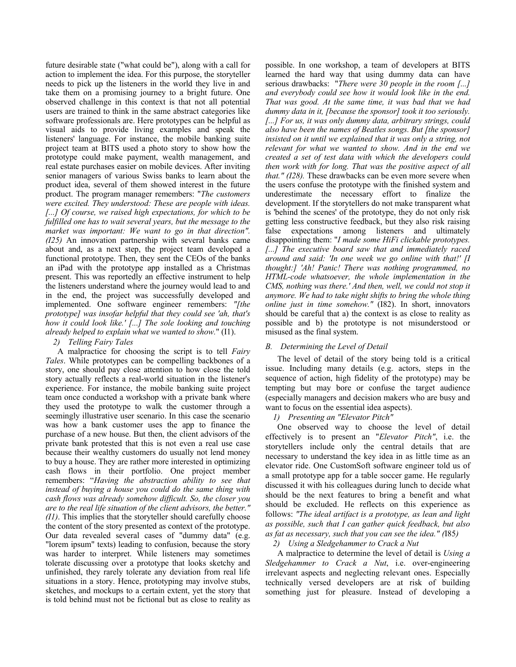future desirable state ("what could be"), along with a call for action to implement the idea. For this purpose, the storyteller needs to pick up the listeners in the world they live in and take them on a promising journey to a bright future. One observed challenge in this context is that not all potential users are trained to think in the same abstract categories like software professionals are. Here prototypes can be helpful as visual aids to provide living examples and speak the listeners' language. For instance, the mobile banking suite project team at BITS used a photo story to show how the prototype could make payment, wealth management, and real estate purchases easier on mobile devices. After inviting senior managers of various Swiss banks to learn about the product idea, several of them showed interest in the future product. The program manager remembers: "*The customers were excited. They understood: These are people with ideas. [...] Of course, we raised high expectations, for which to be*  fulfilled one has to wait several years, but the message to the *market was important: We want to go in that direction". (I25)* An innovation partnership with several banks came about and, as a next step, the project team developed a functional prototype. Then, they sent the CEOs of the banks an iPad with the prototype app installed as a Christmas present. This was reportedly an effective instrument to help the listeners understand where the journey would lead to and in the end, the project was successfully developed and implemented. One software engineer remembers: *"[the prototype] was insofar helpful that they could see 'ah, that's how it could look like.' [...] The sole looking and touching already helped to explain what we wanted to show.*" (I1).

### *2) Telling Fairy Tales*

A malpractice for choosing the script is to tell *Fairy Tales*. While prototypes can be compelling backbones of a story, one should pay close attention to how close the told story actually reflects a real-world situation in the listener's experience. For instance, the mobile banking suite project team once conducted a workshop with a private bank where they used the prototype to walk the customer through a seemingly illustrative user scenario. In this case the scenario was how a bank customer uses the app to finance the purchase of a new house. But then, the client advisors of the private bank protested that this is not even a real use case because their wealthy customers do usually not lend money to buy a house. They are rather more interested in optimizing cash flows in their portfolio. One project member remembers: "*Having the abstraction ability to see that instead of buying a house you could do the same thing with cash flows was already somehow difficult. So, the closer you are to the real life situation of the client advisors, the better." (I1)*. This implies that the storyteller should carefully choose the content of the story presented as context of the prototype. Our data revealed several cases of "dummy data" (e.g. "lorem ipsum" texts) leading to confusion, because the story was harder to interpret. While listeners may sometimes tolerate discussing over a prototype that looks sketchy and unfinished, they rarely tolerate any deviation from real life situations in a story. Hence, prototyping may involve stubs, sketches, and mockups to a certain extent, yet the story that is told behind must not be fictional but as close to reality as

possible. In one workshop, a team of developers at BITS learned the hard way that using dummy data can have serious drawbacks: "*There were 30 people in the room [...] and everybody could see how it would look like in the end. That was good. At the same time, it was bad that we had dummy data in it, [because the sponsor] took it too seriously. [...] For us, it was only dummy data, arbitrary strings, could also have been the names of Beatles songs. But [the sponsor] insisted on it until we explained that it was only a string, not relevant for what we wanted to show. And in the end we created a set of test data with which the developers could then work with for long. That was the positive aspect of all that." (I28).* These drawbacks can be even more severe when the users confuse the prototype with the finished system and underestimate the necessary effort to finalize the development. If the storytellers do not make transparent what is 'behind the scenes' of the prototype, they do not only risk getting less constructive feedback, but they also risk raising false expectations among listeners and ultimately disappointing them: "*I made some HiFi clickable prototypes. [...] The executive board saw that and immediately raced around and said: 'In one week we go online with that!' [I thought:] 'Ah! Panic! There was nothing programmed, no HTML-code whatsoever, the whole implementation in the CMS, nothing was there.' And then, well, we could not stop it anymore. We had to take night shifts to bring the whole thing online just in time somehow."* (I82). In short, innovators should be careful that a) the context is as close to reality as possible and b) the prototype is not misunderstood or misused as the final system.

## *B. Determining the Level of Detail*

The level of detail of the story being told is a critical issue. Including many details (e.g. actors, steps in the sequence of action, high fidelity of the prototype) may be tempting but may bore or confuse the target audience (especially managers and decision makers who are busy and want to focus on the essential idea aspects).

## *1) Presenting an "Elevator Pitch"*

One observed way to choose the level of detail effectively is to present an "*Elevator Pitch"*, i.e. the storytellers include only the central details that are necessary to understand the key idea in as little time as an elevator ride. One CustomSoft software engineer told us of a small prototype app for a table soccer game. He regularly discussed it with his colleagues during lunch to decide what should be the next features to bring a benefit and what should be excluded. He reflects on this experience as follows: *"The ideal artifact is a prototype, as lean and light as possible, such that I can gather quick feedback, but also as fat as necessary, such that you can see the idea." (*I85*)* 

## *2) Using a Sledgehammer to Crack a Nut*

A malpractice to determine the level of detail is *Using a Sledgehammer to Crack a Nut*, i.e. over-engineering irrelevant aspects and neglecting relevant ones. Especially technically versed developers are at risk of building something just for pleasure. Instead of developing a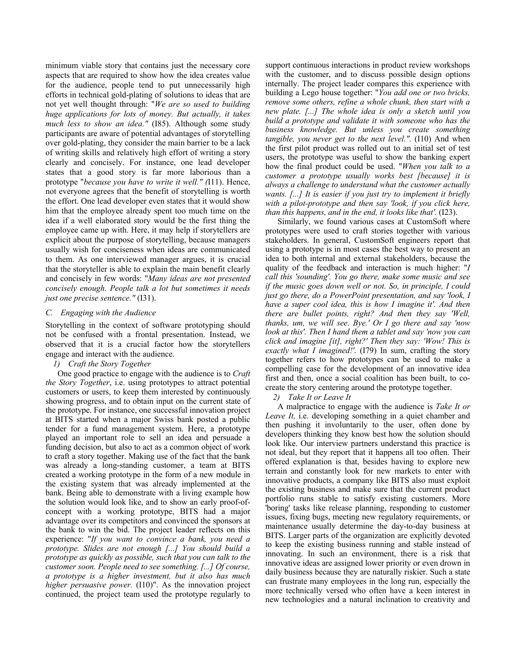minimum viable story that contains just the necessary core aspects that are required to show how the idea creates value for the audience, people tend to put unnecessarily high efforts in technical gold-plating of solutions to ideas that are not yet well thought through: "*We are so used to building huge applications for lots of money. But actually, it takes much less to show an idea."* (I85). Although some study participants are aware of potential advantages of storytelling over gold-plating, they consider the main barrier to be a lack of writing skills and relatively high effort of writing a story clearly and concisely. For instance, one lead developer states that a good story is far more laborious than a prototype "*because you have to write it well." (*I11). Hence, not everyone agrees that the benefit of storytelling is worth the effort. One lead developer even states that it would show him that the employee already spent too much time on the idea if a well elaborated story would be the first thing the employee came up with. Here, it may help if storytellers are explicit about the purpose of storytelling, because managers usually wish for conciseness when ideas are communicated to them. As one interviewed manager argues, it is crucial that the storyteller is able to explain the main benefit clearly and concisely in few words: "*Many ideas are not presented concisely enough. People talk a lot but sometimes it needs just one precise sentence."* (I31).

### *C. Engaging with the Audience*

Storytelling in the context of software prototyping should not be confused with a frontal presentation. Instead, we observed that it is a crucial factor how the storytellers engage and interact with the audience.

### *1) Craft the Story Together*

One good practice to engage with the audience is to *Craft the Story Together*, i.e. using prototypes to attract potential customers or users, to keep them interested by continuously showing progress, and to obtain input on the current state of the prototype. For instance, one successful innovation project at BITS started when a major Swiss bank posted a public tender for a fund management system. Here, a prototype played an important role to sell an idea and persuade a funding decision, but also to act as a common object of work to craft a story together. Making use of the fact that the bank was already a long-standing customer, a team at BITS created a working prototype in the form of a new module in the existing system that was already implemented at the bank. Being able to demonstrate with a living example how the solution would look like, and to show an early proof-ofconcept with a working prototype, BITS had a major advantage over its competitors and convinced the sponsors at the bank to win the bid. The project leader reflects on this experience: "*If you want to convince a bank, you need a prototype. Slides are not enough [...] You should build a prototype as quickly as possible, such that you can talk to the customer soon. People need to see something. [...] Of course, a prototype is a higher investment, but it also has much higher persuasive power.* (I10)". As the innovation project continued, the project team used the prototype regularly to

support continuous interactions in product review workshops with the customer, and to discuss possible design options internally. The project leader compares this experience with building a Lego house together: "*You add one or two bricks, remove some others, refine a whole chunk, then start with a new plate. [...] The whole idea is only a sketch until you build a prototype and validate it with someone who has the business knowledge. But unless you create something tangible, you never get to the next level.".* (I10) And when the first pilot product was rolled out to an initial set of test users, the prototype was useful to show the banking expert how the final product could be used. "*When you talk to a customer a prototype usually works best [because] it is always a challenge to understand what the customer actually wants. [...] It is easier if you just try to implement it briefly with a pilot-prototype and then say 'look, if you click here, than this happens, and in the end, it looks like that'.* (I23).

Similarly, we found various cases at CustomSoft where prototypes were used to craft stories together with various stakeholders. In general, CustomSoft engineers report that using a prototype is in most cases the best way to present an idea to both internal and external stakeholders, because the quality of the feedback and interaction is much higher: "*I call this 'sounding'. You go there, make some music and see if the music goes down well or not. So, in principle, I could just go there, do a PowerPoint presentation, and say 'look, I have a super cool idea, this is how I imagine it'. And then there are bullet points, right? And then they say 'Well, thanks, um, we will see. Bye.' Or I go there and say 'now look at this'. Then I hand them a tablet and say 'now you can click and imagine [it], right?' Then they say: 'Wow! This is exactly what I imagined!'*. (I79) In sum, crafting the story together refers to how prototypes can be used to make a compelling case for the development of an innovative idea first and then, once a social coalition has been built, to cocreate the story centering around the prototype together.

### *2) Take It or Leave It*

A malpractice to engage with the audience is *Take It or Leave It,* i.e. developing something in a quiet chamber and then pushing it involuntarily to the user, often done by developers thinking they know best how the solution should look like. Our interview partners understand this practice is not ideal, but they report that it happens all too often. Their offered explanation is that, besides having to explore new terrain and constantly look for new markets to enter with innovative products, a company like BITS also must exploit the existing business and make sure that the current product portfolio runs stable to satisfy existing customers. More 'boring' tasks like release planning, responding to customer issues, fixing bugs, meeting new regulatory requirements, or maintenance usually determine the day-to-day business at BITS. Larger parts of the organization are explicitly devoted to keep the existing business running and stable instead of innovating. In such an environment, there is a risk that innovative ideas are assigned lower priority or even drown in daily business because they are naturally riskier. Such a state can frustrate many employees in the long run, especially the more technically versed who often have a keen interest in new technologies and a natural inclination to creativity and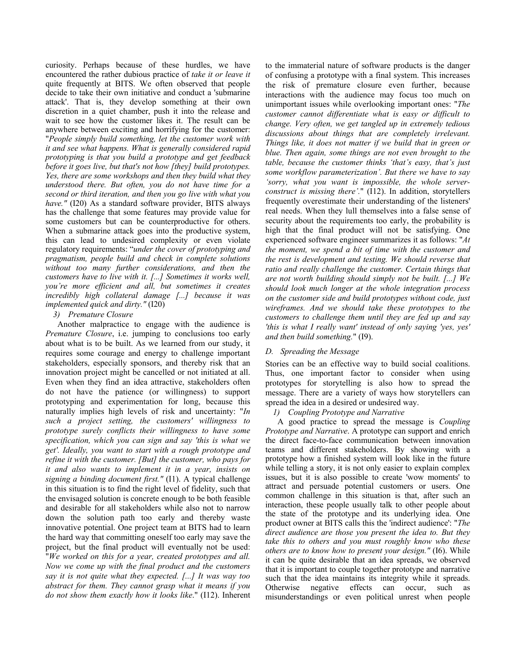curiosity. Perhaps because of these hurdles, we have encountered the rather dubious practice of *take it or leave it* quite frequently at BITS. We often observed that people decide to take their own initiative and conduct a 'submarine attack'. That is, they develop something at their own discretion in a quiet chamber, push it into the release and wait to see how the customer likes it. The result can be anywhere between exciting and horrifying for the customer: "*People simply build something, let the customer work with it and see what happens. What is generally considered rapid prototyping is that you build a prototype and get feedback before it goes live, but that's not how [they] build prototypes. Yes, there are some workshops and then they build what they understood there. But often, you do not have time for a second or third iteration, and then you go live with what you have."* (I20) As a standard software provider, BITS always has the challenge that some features may provide value for some customers but can be counterproductive for others. When a submarine attack goes into the productive system, this can lead to undesired complexity or even violate regulatory requirements: "*under the cover of prototyping and pragmatism, people build and check in complete solutions without too many further considerations, and then the customers have to live with it. [...] Sometimes it works well, you're more efficient and all, but sometimes it creates incredibly high collateral damage [...] because it was implemented quick and dirty."* (I20)

## *3) Premature Closure*

Another malpractice to engage with the audience is *Premature Closure*, i.e. jumping to conclusions too early about what is to be built. As we learned from our study, it requires some courage and energy to challenge important stakeholders, especially sponsors, and thereby risk that an innovation project might be cancelled or not initiated at all. Even when they find an idea attractive, stakeholders often do not have the patience (or willingness) to support prototyping and experimentation for long, because this naturally implies high levels of risk and uncertainty: "*In such a project setting, the customers' willingness to prototype surely conflicts their willingness to have some specification, which you can sign and say 'this is what we get'. Ideally, you want to start with a rough prototype and refine it with the customer. [But] the customer, who pays for it and also wants to implement it in a year, insists on signing a binding document first."* (I1). A typical challenge in this situation is to find the right level of fidelity, such that the envisaged solution is concrete enough to be both feasible and desirable for all stakeholders while also not to narrow down the solution path too early and thereby waste innovative potential. One project team at BITS had to learn the hard way that committing oneself too early may save the project, but the final product will eventually not be used: "*We worked on this for a year, created prototypes and all. Now we come up with the final product and the customers say it is not quite what they expected. [...] It was way too abstract for them. They cannot grasp what it means if you do not show them exactly how it looks like*." (I12). Inherent

to the immaterial nature of software products is the danger of confusing a prototype with a final system. This increases the risk of premature closure even further, because interactions with the audience may focus too much on unimportant issues while overlooking important ones: "*The customer cannot differentiate what is easy or difficult to change. Very often, we get tangled up in extremely tedious discussions about things that are completely irrelevant. Things like, it does not matter if we build that in green or blue. Then again, some things are not even brought to the table, because the customer thinks 'that's easy, that's just some workflow parameterization'. But there we have to say 'sorry, what you want is impossible, the whole serverconstruct is missing there'.*" (I12). In addition, storytellers frequently overestimate their understanding of the listeners' real needs. When they lull themselves into a false sense of security about the requirements too early, the probability is high that the final product will not be satisfying. One experienced software engineer summarizes it as follows: "*At the moment, we spend a bit of time with the customer and the rest is development and testing. We should reverse that ratio and really challenge the customer. Certain things that are not worth building should simply not be built. [...] We should look much longer at the whole integration process on the customer side and build prototypes without code, just wireframes. And we should take these prototypes to the customers to challenge them until they are fed up and say 'this is what I really want' instead of only saying 'yes, yes' and then build something.*" (I9).

## *D. Spreading the Message*

Stories can be an effective way to build social coalitions. Thus, one important factor to consider when using prototypes for storytelling is also how to spread the message. There are a variety of ways how storytellers can spread the idea in a desired or undesired way.

### *1) Coupling Prototype and Narrative*

A good practice to spread the message is *Coupling Prototype and Narrative*. A prototype can support and enrich the direct face-to-face communication between innovation teams and different stakeholders. By showing with a prototype how a finished system will look like in the future while telling a story, it is not only easier to explain complex issues, but it is also possible to create 'wow moments' to attract and persuade potential customers or users. One common challenge in this situation is that, after such an interaction, these people usually talk to other people about the state of the prototype and its underlying idea. One product owner at BITS calls this the 'indirect audience': "*The direct audience are those you present the idea to. But they take this to others and you must roughly know who these others are to know how to present your design."* (I6). While it can be quite desirable that an idea spreads, we observed that it is important to couple together prototype and narrative such that the idea maintains its integrity while it spreads. Otherwise negative effects can occur, such as misunderstandings or even political unrest when people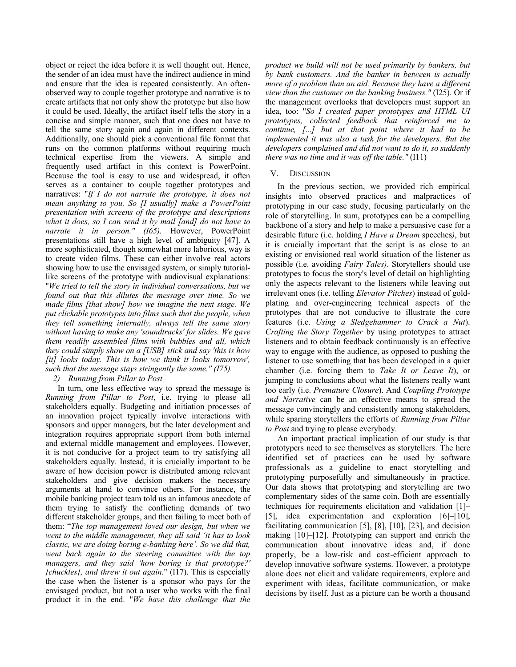object or reject the idea before it is well thought out. Hence, the sender of an idea must have the indirect audience in mind and ensure that the idea is repeated consistently. An oftenobserved way to couple together prototype and narrative is to create artifacts that not only show the prototype but also how it could be used. Ideally, the artifact itself tells the story in a concise and simple manner, such that one does not have to tell the same story again and again in different contexts. Additionally, one should pick a conventional file format that runs on the common platforms without requiring much technical expertise from the viewers. A simple and frequently used artifact in this context is PowerPoint. Because the tool is easy to use and widespread, it often serves as a container to couple together prototypes and narratives: "*If I do not narrate the prototype, it does not mean anything to you. So [I usually] make a PowerPoint presentation with screens of the prototype and descriptions what it does, so I can send it by mail [and] do not have to narrate it in person." (I65).* However, PowerPoint presentations still have a high level of ambiguity [47]. A more sophisticated, though somewhat more laborious, way is to create video films. These can either involve real actors showing how to use the envisaged system, or simply tutoriallike screens of the prototype with audiovisual explanations: "*We tried to tell the story in individual conversations, but we found out that this dilutes the message over time. So we made films [that show] how we imagine the next stage. We put clickable prototypes into films such that the people, when they tell something internally, always tell the same story without having to make any 'soundtracks' for slides. We gave them readily assembled films with bubbles and all, which they could simply show on a [USB] stick and say 'this is how [it] looks today. This is how we think it looks tomorrow', such that the message stays stringently the same." (I75).* 

### *2) Running from Pillar to Post*

In turn, one less effective way to spread the message is *Running from Pillar to Post*, i.e. trying to please all stakeholders equally. Budgeting and initiation processes of an innovation project typically involve interactions with sponsors and upper managers, but the later development and integration requires appropriate support from both internal and external middle management and employees. However, it is not conducive for a project team to try satisfying all stakeholders equally. Instead, it is crucially important to be aware of how decision power is distributed among relevant stakeholders and give decision makers the necessary arguments at hand to convince others. For instance, the mobile banking project team told us an infamous anecdote of them trying to satisfy the conflicting demands of two different stakeholder groups, and then failing to meet both of them: "*The top management loved our design, but when we went to the middle management, they all said 'it has to look classic, we are doing boring e-banking here'. So we did that, went back again to the steering committee with the top managers, and they said 'how boring is that prototype?' [chuckles], and threw it out again*." (I17). This is especially the case when the listener is a sponsor who pays for the envisaged product, but not a user who works with the final product it in the end. "*We have this challenge that the* 

*product we build will not be used primarily by bankers, but by bank customers. And the banker in between is actually more of a problem than an aid. Because they have a different view than the customer on the banking business."* (I25). Or if the management overlooks that developers must support an idea, too: "*So I created paper prototypes and HTML UI prototypes, collected feedback that reinforced me to continue, [...] but at that point where it had to be*  implemented it was also a task for the developers. But the *developers complained and did not want to do it, so suddenly there was no time and it was off the table."* (I11)

## V. DISCUSSION

In the previous section, we provided rich empirical insights into observed practices and malpractices of prototyping in our case study, focusing particularly on the role of storytelling. In sum, prototypes can be a compelling backbone of a story and help to make a persuasive case for a desirable future (i.e. holding *I Have a Dream* speeches*)*, but it is crucially important that the script is as close to an existing or envisioned real world situation of the listener as possible (i.e. avoiding *Fairy Tales)*. Storytellers should use prototypes to focus the story's level of detail on highlighting only the aspects relevant to the listeners while leaving out irrelevant ones (i.e. telling *Elevator Pitches*) instead of goldplating and over-engineering technical aspects of the prototypes that are not conducive to illustrate the core features (i.e. *Using a Sledgehammer to Crack a Nut*). *Crafting the Story Together* by using prototypes to attract listeners and to obtain feedback continuously is an effective way to engage with the audience, as opposed to pushing the listener to use something that has been developed in a quiet chamber (i.e. forcing them to *Take It or Leave It*), or jumping to conclusions about what the listeners really want too early (i.e. *Premature Closure*). And *Coupling Prototype and Narrative* can be an effective means to spread the message convincingly and consistently among stakeholders, while sparing storytellers the efforts of *Running from Pillar to Post* and trying to please everybody.

An important practical implication of our study is that prototypers need to see themselves as storytellers. The here identified set of practices can be used by software professionals as a guideline to enact storytelling and prototyping purposefully and simultaneously in practice. Our data shows that prototyping and storytelling are two complementary sides of the same coin. Both are essentially techniques for requirements elicitation and validation [1]– [5], idea experimentation and exploration [6]–[10], facilitating communication [5], [8], [10], [23], and decision making [10]–[12]. Prototyping can support and enrich the communication about innovative ideas and, if done properly, be a low-risk and cost-efficient approach to develop innovative software systems. However, a prototype alone does not elicit and validate requirements, explore and experiment with ideas, facilitate communication, or make decisions by itself. Just as a picture can be worth a thousand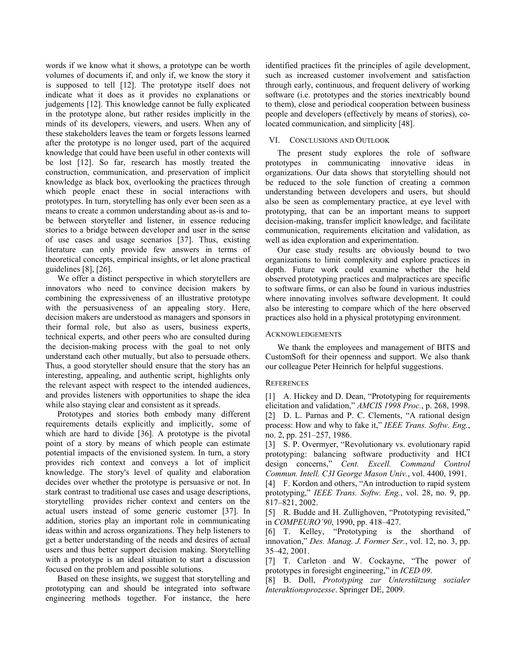words if we know what it shows, a prototype can be worth volumes of documents if, and only if, we know the story it is supposed to tell [12]. The prototype itself does not indicate what it does as it provides no explanations or judgements [12]. This knowledge cannot be fully explicated in the prototype alone, but rather resides implicitly in the minds of its developers, viewers, and users. When any of these stakeholders leaves the team or forgets lessons learned after the prototype is no longer used, part of the acquired knowledge that could have been useful in other contexts will be lost [12]. So far, research has mostly treated the construction, communication, and preservation of implicit knowledge as black box, overlooking the practices through which people enact these in social interactions with prototypes. In turn, storytelling has only ever been seen as a means to create a common understanding about as-is and tobe between storyteller and listener, in essence reducing stories to a bridge between developer and user in the sense of use cases and usage scenarios [37]. Thus, existing literature can only provide few answers in terms of theoretical concepts, empirical insights, or let alone practical guidelines [8], [26].

We offer a distinct perspective in which storytellers are innovators who need to convince decision makers by combining the expressiveness of an illustrative prototype with the persuasiveness of an appealing story. Here, decision makers are understood as managers and sponsors in their formal role, but also as users, business experts, technical experts, and other peers who are consulted during the decision-making process with the goal to not only understand each other mutually, but also to persuade others. Thus, a good storyteller should ensure that the story has an interesting, appealing, and authentic script, highlights only the relevant aspect with respect to the intended audiences, and provides listeners with opportunities to shape the idea while also staving clear and consistent as it spreads.

Prototypes and stories both embody many different requirements details explicitly and implicitly, some of which are hard to divide [36]. A prototype is the pivotal point of a story by means of which people can estimate potential impacts of the envisioned system. In turn, a story provides rich context and conveys a lot of implicit knowledge. The story's level of quality and elaboration decides over whether the prototype is persuasive or not. In stark contrast to traditional use cases and usage descriptions, storytelling provides richer context and centers on the actual users instead of some generic customer [37]. In addition, stories play an important role in communicating ideas within and across organizations. They help listeners to get a better understanding of the needs and desires of actual users and thus better support decision making. Storytelling with a prototype is an ideal situation to start a discussion focused on the problem and possible solutions.

Based on these insights, we suggest that storytelling and prototyping can and should be integrated into software engineering methods together. For instance, the here identified practices fit the principles of agile development, such as increased customer involvement and satisfaction through early, continuous, and frequent delivery of working software (i.e. prototypes and the stories inextricably bound to them), close and periodical cooperation between business people and developers (effectively by means of stories), colocated communication, and simplicity [48].

## VI. CONCLUSIONS AND OUTLOOK

The present study explores the role of software prototypes in communicating innovative ideas in organizations. Our data shows that storytelling should not be reduced to the sole function of creating a common understanding between developers and users, but should also be seen as complementary practice, at eye level with prototyping, that can be an important means to support decision-making, transfer implicit knowledge, and facilitate communication, requirements elicitation and validation, as well as idea exploration and experimentation.

Our case study results are obviously bound to two organizations to limit complexity and explore practices in depth. Future work could examine whether the held observed prototyping practices and malpractices are specific to software firms, or can also be found in various industries where innovating involves software development. It could also be interesting to compare which of the here observed practices also hold in a physical prototyping environment.

## ACKNOWLEDGEMENTS

We thank the employees and management of BITS and CustomSoft for their openness and support. We also thank our colleague Peter Heinrich for helpful suggestions.

### **REFERENCES**

[1] A. Hickey and D. Dean, "Prototyping for requirements elicitation and validation," *AMCIS 1998 Proc.*, p. 268, 1998. [2] D. L. Parnas and P. C. Clements, "A rational design process: How and why to fake it," *IEEE Trans. Softw. Eng.*, no. 2, pp. 251–257, 1986.

[3] S. P. Overmyer, "Revolutionary vs. evolutionary rapid prototyping: balancing software productivity and HCI design concerns," *Cent. Excell. Command Control Commun. Intell. C3I George Mason Univ.*, vol. 4400, 1991.

[4] F. Kordon and others, "An introduction to rapid system prototyping," *IEEE Trans. Softw. Eng.*, vol. 28, no. 9, pp. 817–821, 2002.

[5] R. Budde and H. Zullighoven, "Prototyping revisited," in *COMPEURO'90*, 1990, pp. 418–427.

[6] T. Kelley, "Prototyping is the shorthand of innovation," *Des. Manag. J. Former Ser.*, vol. 12, no. 3, pp. 35–42, 2001.

[7] T. Carleton and W. Cockayne, "The power of prototypes in foresight engineering," in *ICED 09*.

[8] B. Doll, *Prototyping zur Unterstützung sozialer Interaktionsprozesse*. Springer DE, 2009.